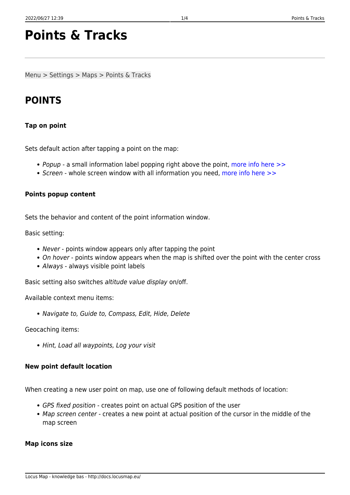# **Points & Tracks**

Menu > Settings > Maps > Points & Tracks

# **POINTS**

### **Tap on point**

Sets default action after tapping a point on the map:

- Popup a small information label popping right above the point, more info here  $\gg$
- Screen whole screen window with all information you need, [more info here >>](http://docs.locusmap.eu/doku.php?id=manual:user_guide:points:management#point_detail_screen)

## **Points popup content**

Sets the behavior and content of the point information window.

Basic setting:

- Never points window appears only after tapping the point
- On hover points window appears when the map is shifted over the point with the center cross
- Always always visible point labels

Basic setting also switches altitude value display on/off.

Available context menu items:

Navigate to, Guide to, Compass, Edit, Hide, Delete

Geocaching items:

• Hint, Load all waypoints, Log your visit

### **New point default location**

When creating a new user point on map, use one of following default methods of location:

- GPS fixed position creates point on actual GPS position of the user
- Map screen center creates a new point at actual position of the cursor in the middle of the map screen

### **Map icons size**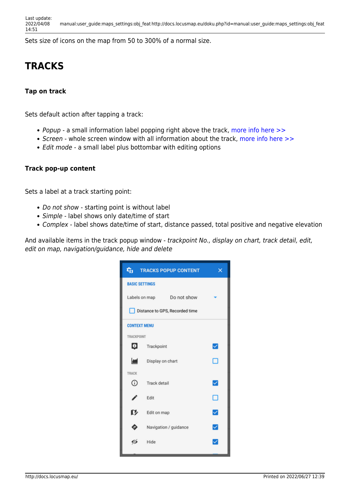Sets size of icons on the map from 50 to 300% of a normal size.

# **TRACKS**

### **Tap on track**

Sets default action after tapping a track:

- Popup a small information label popping right above the track, more info here  $\gg$
- Screen whole screen window with all information about the track, [more info here >>](http://docs.locusmap.eu/doku.php?id=manual:user_guide:tracks:management#track_detail_screen)
- Edit mode a small label plus bottombar with editing options

#### **Track pop-up content**

Sets a label at a track starting point:

- Do not show starting point is without label
- Simple label shows only date/time of start
- Complex label shows date/time of start, distance passed, total positive and negative elevation

And available items in the track popup window - trackpoint No., display on chart, track detail, edit, edit on map, navigation/guidance, hide and delete

|                                | <b>THE TRACKS POPUP CONTENT</b> | x |
|--------------------------------|---------------------------------|---|
| <b>BASIC SETTINGS</b>          |                                 |   |
|                                | Labels on map   Do not show     |   |
| Distance to GPS, Recorded time |                                 |   |
| <b>CONTEXT MENU</b>            |                                 |   |
| TRACKPOINT                     |                                 |   |
| Φ                              | Trackpoint                      | ✓ |
| <b>And</b>                     | Display on chart                | ⊓ |
| <b>TRACK</b>                   |                                 |   |
| ⊙                              | <b>Track detail</b>             | ✓ |
| I                              | Edit                            | □ |
| ľ                              | Edit on map                     | ☑ |
|                                | Navigation / guidance           | ☑ |
| σú                             | Hide                            | ▽ |
|                                |                                 |   |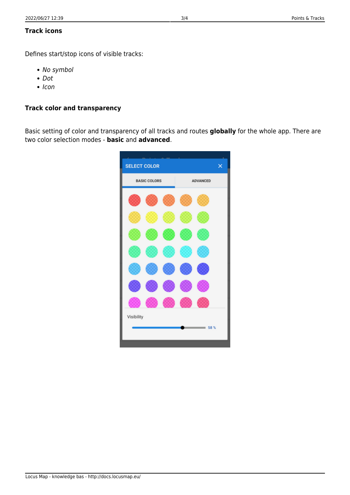### **Track icons**

Defines start/stop icons of visible tracks:

- No symbol
- Dot
- $\cdot$  Icon

### **Track color and transparency**

Basic setting of color and transparency of all tracks and routes **globally** for the whole app. There are two color selection modes - **basic** and **advanced**.